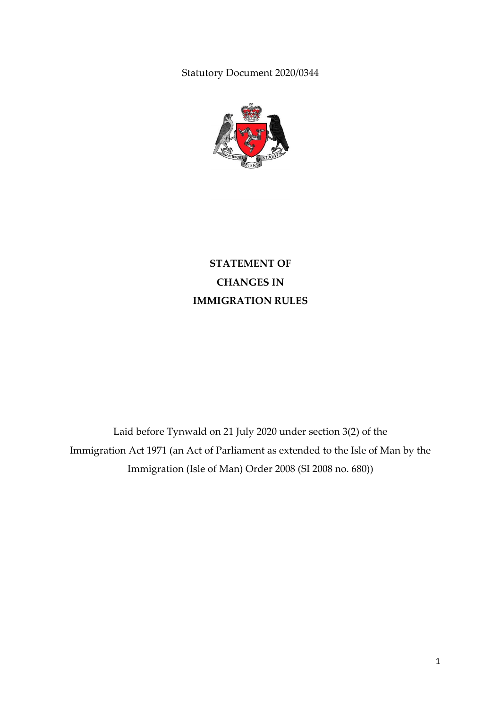Statutory Document 2020/0344



**STATEMENT OF CHANGES IN IMMIGRATION RULES**

Laid before Tynwald on 21 July 2020 under section 3(2) of the Immigration Act 1971 (an Act of Parliament as extended to the Isle of Man by the Immigration (Isle of Man) Order 2008 (SI 2008 no. 680))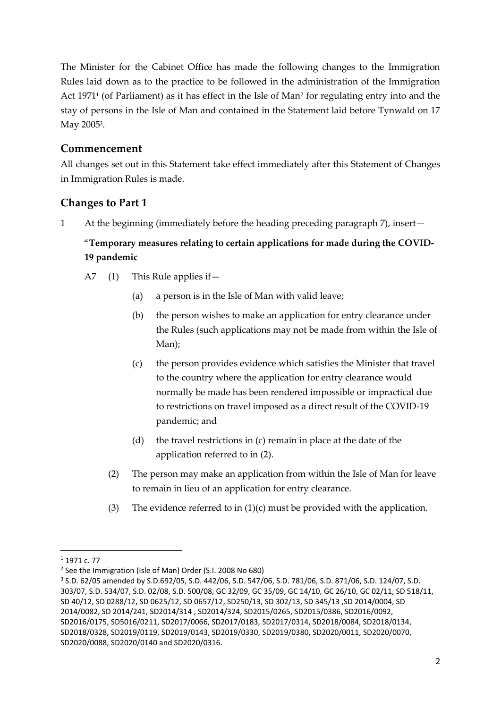The Minister for the Cabinet Office has made the following changes to the Immigration Rules laid down as to the practice to be followed in the administration of the Immigration Act 1971<sup>1</sup> (of Parliament) as it has effect in the Isle of Man<sup>2</sup> for regulating entry into and the stay of persons in the Isle of Man and contained in the Statement laid before Tynwald on 17 May 2005<sup>3</sup>.

## **Commencement**

All changes set out in this Statement take effect immediately after this Statement of Changes in Immigration Rules is made.

# **Changes to Part 1**

1 At the beginning (immediately before the heading preceding paragraph 7), insert—

# "**Temporary measures relating to certain applications for made during the COVID-19 pandemic**

- A7 (1) This Rule applies if—
	- (a) a person is in the Isle of Man with valid leave;
	- (b) the person wishes to make an application for entry clearance under the Rules (such applications may not be made from within the Isle of Man);
	- (c) the person provides evidence which satisfies the Minister that travel to the country where the application for entry clearance would normally be made has been rendered impossible or impractical due to restrictions on travel imposed as a direct result of the COVID-19 pandemic; and
	- (d) the travel restrictions in (c) remain in place at the date of the application referred to in (2).
	- (2) The person may make an application from within the Isle of Man for leave to remain in lieu of an application for entry clearance.
	- (3) The evidence referred to in  $(1)(c)$  must be provided with the application.

1

<sup>1</sup> 1971 c. 77

<sup>&</sup>lt;sup>2</sup> See the Immigration (Isle of Man) Order (S.I. 2008 No 680)

<sup>3</sup> S.D. 62/05 amended by S.D.692/05, S.D. 442/06, S.D. 547/06, S.D. 781/06, S.D. 871/06, S.D. 124/07, S.D. 303/07, S.D. 534/07, S.D. 02/08, S.D. 500/08, GC 32/09, GC 35/09, GC 14/10, GC 26/10, GC 02/11, SD 518/11, SD 40/12, SD 0288/12, SD 0625/12, SD 0657/12, SD250/13, SD 302/13, SD 345/13 ,SD 2014/0004, SD 2014/0082, SD 2014/241, SD2014/314 , SD2014/324, SD2015/0265, SD2015/0386, SD2016/0092, SD2016/0175, SD5016/0211, SD2017/0066, SD2017/0183, SD2017/0314, SD2018/0084, SD2018/0134, SD2018/0328, SD2019/0119, SD2019/0143, SD2019/0330, SD2019/0380, SD2020/0011, SD2020/0070, SD2020/0088, SD2020/0140 and SD2020/0316.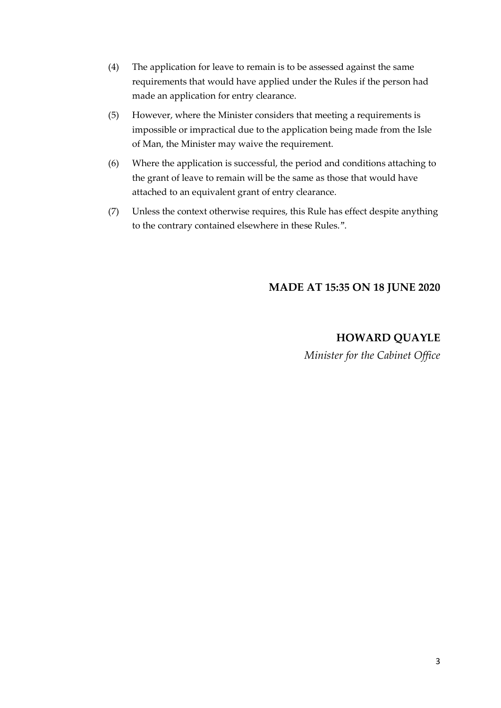- (4) The application for leave to remain is to be assessed against the same requirements that would have applied under the Rules if the person had made an application for entry clearance.
- (5) However, where the Minister considers that meeting a requirements is impossible or impractical due to the application being made from the Isle of Man, the Minister may waive the requirement.
- (6) Where the application is successful, the period and conditions attaching to the grant of leave to remain will be the same as those that would have attached to an equivalent grant of entry clearance.
- (7) Unless the context otherwise requires, this Rule has effect despite anything to the contrary contained elsewhere in these Rules.".

#### **MADE AT 15:35 ON 18 JUNE 2020**

### **HOWARD QUAYLE**

*Minister for the Cabinet Office*